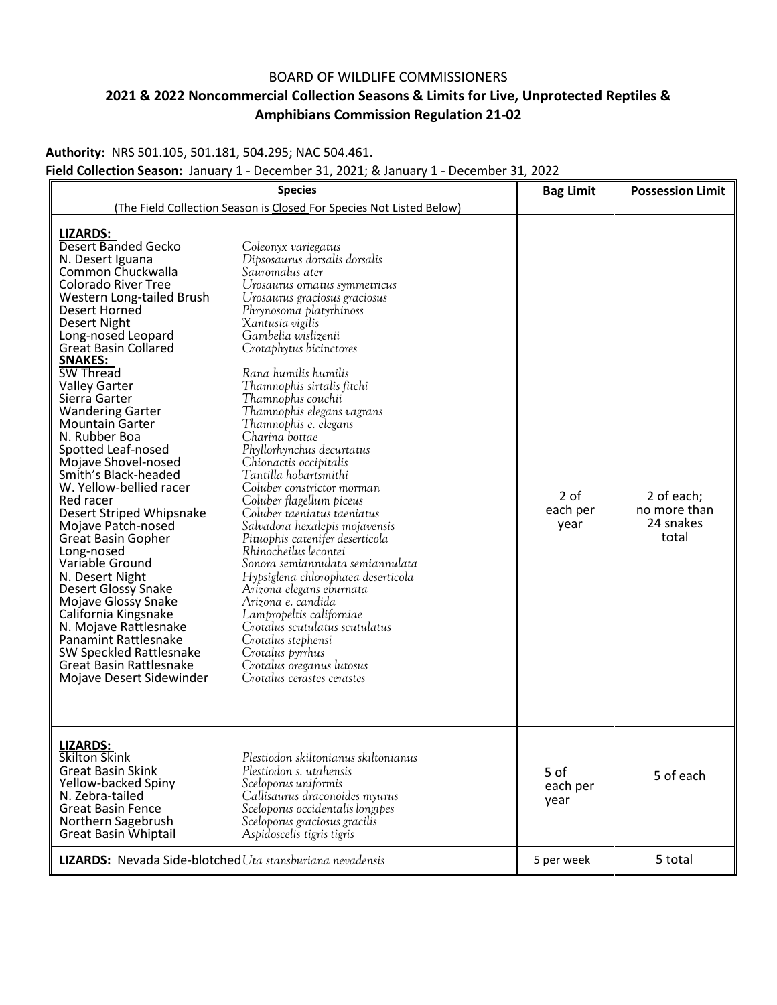## BOARD OF WILDLIFE COMMISSIONERS

## **2021 & 2022 Noncommercial Collection Seasons & Limits for Live, Unprotected Reptiles & Amphibians Commission Regulation 21-02**

**Authority:** NRS 501.105, 501.181, 504.295; NAC 504.461.

**Field Collection Season:** January 1 - December 31, 2021; & January 1 - December 31, 2022

| <b>Species</b>                                                                                                                                                                                                                                                                                                                                                                                                                                                                                                                                                                                                                                                                                                                                                                                                                                        |                                                                                                                                                                                                                                                                                                                                                                                                                                                                                                                                                                                                                                                                                                                                                                                                                                                                                                                                                                       | <b>Bag Limit</b>         | <b>Possession Limit</b>                          |
|-------------------------------------------------------------------------------------------------------------------------------------------------------------------------------------------------------------------------------------------------------------------------------------------------------------------------------------------------------------------------------------------------------------------------------------------------------------------------------------------------------------------------------------------------------------------------------------------------------------------------------------------------------------------------------------------------------------------------------------------------------------------------------------------------------------------------------------------------------|-----------------------------------------------------------------------------------------------------------------------------------------------------------------------------------------------------------------------------------------------------------------------------------------------------------------------------------------------------------------------------------------------------------------------------------------------------------------------------------------------------------------------------------------------------------------------------------------------------------------------------------------------------------------------------------------------------------------------------------------------------------------------------------------------------------------------------------------------------------------------------------------------------------------------------------------------------------------------|--------------------------|--------------------------------------------------|
| (The Field Collection Season is Closed For Species Not Listed Below)                                                                                                                                                                                                                                                                                                                                                                                                                                                                                                                                                                                                                                                                                                                                                                                  |                                                                                                                                                                                                                                                                                                                                                                                                                                                                                                                                                                                                                                                                                                                                                                                                                                                                                                                                                                       |                          |                                                  |
| <b>LIZARDS:</b><br>Desert Banded Gecko<br>N. Desert Iguana<br>Common Chuckwalla<br>Colorado River Tree<br>Western Long-tailed Brush<br>Desert Horned<br>Desert Night<br>Long-nosed Leopard<br><b>Great Basin Collared</b><br><b>SNAKES:</b><br>SW Thread<br><b>Valley Garter</b><br>Sierra Garter<br><b>Wandering Garter</b><br><b>Mountain Garter</b><br>N. Rubber Boa<br>Spotted Leaf-nosed<br>Mojave Shovel-nosed<br>Smith's Black-headed<br>W. Yellow-bellied racer<br>Red racer<br>Desert Striped Whipsnake<br>Mojave Patch-nosed<br><b>Great Basin Gopher</b><br>Long-nosed<br>Variable Ground<br>N. Desert Night<br><b>Desert Glossy Snake</b><br>Mojave Glossy Snake<br>California Kingsnake<br>N. Mojave Rattlesnake<br><b>Panamint Rattlesnake</b><br>SW Speckled Rattlesnake<br><b>Great Basin Rattlesnake</b><br>Mojave Desert Sidewinder | Coleonyx variegatus<br>Dipsosaurus dorsalis dorsalis<br>Sauromalus ater<br>Urosaurus ornatus symmetricus<br>Urosaurus graciosus graciosus<br>Phrynosoma platyrhinoss<br>Xantusia vigilis<br>Gambelia wislizenii<br>Crotaphytus bicinctores<br>Rana humilis humilis<br>Thamnophis sirtalis fitchi<br>Thamnophis couchii<br>Thamnophis elegans vagrans<br>Thamnophis e. elegans<br>Charina bottae<br>Phyllorhynchus decurtatus<br>Chionactis occipitalis<br>Tantilla hobartsmithi<br>Coluber constrictor morman<br>Coluber flagellum piceus<br>Coluber taeniatus taeniatus<br>Salvadora hexalepis mojavensis<br>Pituophis catenifer deserticola<br>Rhinocheilus lecontei<br>Sonora semiannulata semiannulata<br>Hypsiglena chlorophaea deserticola<br>Arizona elegans eburnata<br>Arizona e. candida<br>Lampropeltis californiae<br>Crotalus scutulatus scutulatus<br>Crotalus stephensi<br>Crotalus pyrrhus<br>Crotalus oreganus lutosus<br>Crotalus cerastes cerastes | 2 of<br>each per<br>year | 2 of each;<br>no more than<br>24 snakes<br>total |
| <b>LIZARDS:</b><br>Skilton Skink<br><b>Great Basin Skink</b><br>Yellow-backed Spiny<br>N. Zebra-tailed<br><b>Great Basin Fence</b><br>Northern Sagebrush<br>Great Basin Whiptail                                                                                                                                                                                                                                                                                                                                                                                                                                                                                                                                                                                                                                                                      | Plestiodon skiltonianus skiltonianus<br>Plestiodon s. utahensis<br>Sceloporus uniformis<br>Callisaurus draconoides myurus<br>Sceloporus occidentalis longipes<br>Sceloporus graciosus gracilis<br>Aspidoscelis tigris tigris                                                                                                                                                                                                                                                                                                                                                                                                                                                                                                                                                                                                                                                                                                                                          | 5 of<br>each per<br>year | 5 of each                                        |
| <b>LIZARDS:</b> Nevada Side-blotched Uta stansburiana nevadensis                                                                                                                                                                                                                                                                                                                                                                                                                                                                                                                                                                                                                                                                                                                                                                                      |                                                                                                                                                                                                                                                                                                                                                                                                                                                                                                                                                                                                                                                                                                                                                                                                                                                                                                                                                                       | 5 per week               | 5 total                                          |